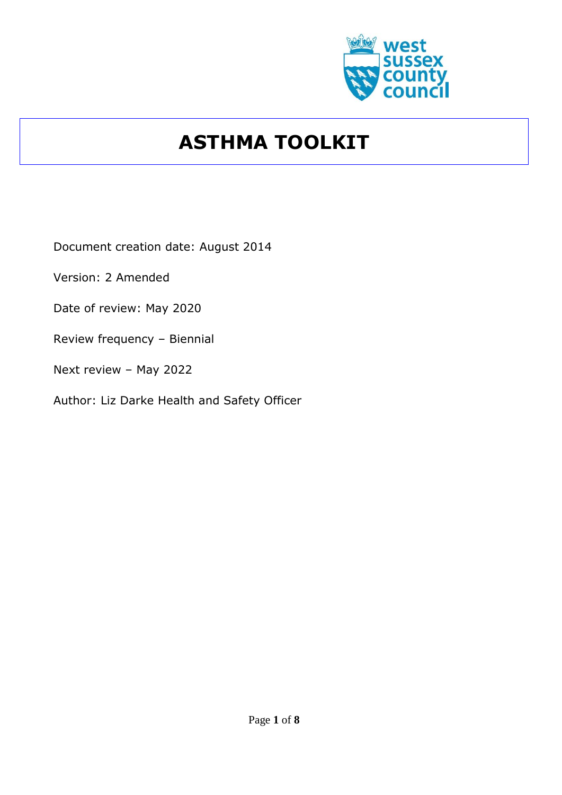

# **ASTHMA TOOLKIT**

Document creation date: August 2014

Version: 2 Amended

Date of review: May 2020

Review frequency – Biennial

Next review – May 2022

Author: Liz Darke Health and Safety Officer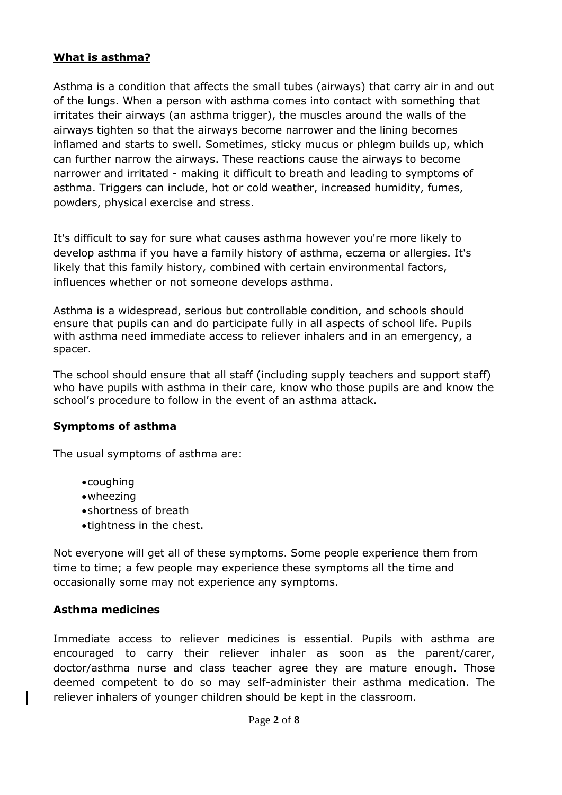# **What is asthma?**

Asthma is a condition that affects the small tubes (airways) that carry air in and out of the lungs. When a person with asthma comes into contact with something that irritates their airways (an asthma trigger), the muscles around the walls of the airways tighten so that the airways become narrower and the lining becomes inflamed and starts to swell. Sometimes, sticky mucus or phlegm builds up, which can further narrow the airways. These reactions cause the airways to become narrower and irritated - making it difficult to breath and leading to symptoms of asthma. Triggers can include, hot or cold weather, increased humidity, fumes, powders, physical exercise and stress.

It's difficult to say for sure what causes asthma however you're more likely to develop asthma if you have a family history of asthma, eczema or allergies. It's likely that this family history, combined with certain environmental factors, influences whether or not someone develops asthma.

Asthma is a widespread, serious but controllable condition, and schools should ensure that pupils can and do participate fully in all aspects of school life. Pupils with asthma need immediate access to reliever inhalers and in an emergency, a spacer.

The school should ensure that all staff (including supply teachers and support staff) who have pupils with asthma in their care, know who those pupils are and know the school's procedure to follow in the event of an asthma attack.

## **Symptoms of asthma**

The usual symptoms of asthma are:

- coughing
- wheezing
- shortness of breath
- tightness in the chest.

Not everyone will get all of these symptoms. Some people experience them from time to time; a few people may experience these symptoms all the time and occasionally some may not experience any symptoms.

## **Asthma medicines**

Immediate access to reliever medicines is essential. Pupils with asthma are encouraged to carry their reliever inhaler as soon as the parent/carer, doctor/asthma nurse and class teacher agree they are mature enough. Those deemed competent to do so may self-administer their asthma medication. The reliever inhalers of younger children should be kept in the classroom.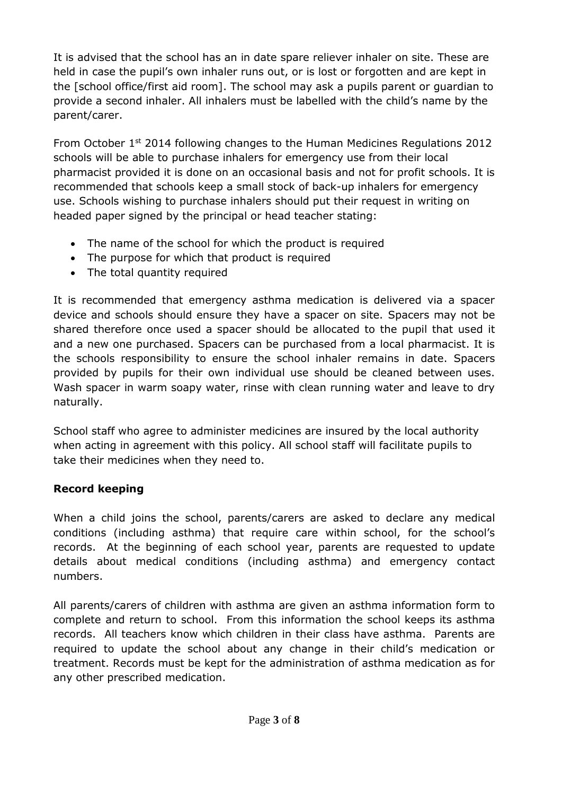It is advised that the school has an in date spare reliever inhaler on site. These are held in case the pupil's own inhaler runs out, or is lost or forgotten and are kept in the [school office/first aid room]. The school may ask a pupils parent or guardian to provide a second inhaler. All inhalers must be labelled with the child's name by the parent/carer.

From October  $1<sup>st</sup>$  2014 following changes to the Human Medicines Regulations 2012 schools will be able to purchase inhalers for emergency use from their local pharmacist provided it is done on an occasional basis and not for profit schools. It is recommended that schools keep a small stock of back-up inhalers for emergency use. Schools wishing to purchase inhalers should put their request in writing on headed paper signed by the principal or head teacher stating:

- The name of the school for which the product is required
- The purpose for which that product is required
- The total quantity required

It is recommended that emergency asthma medication is delivered via a spacer device and schools should ensure they have a spacer on site. Spacers may not be shared therefore once used a spacer should be allocated to the pupil that used it and a new one purchased. Spacers can be purchased from a local pharmacist. It is the schools responsibility to ensure the school inhaler remains in date. Spacers provided by pupils for their own individual use should be cleaned between uses. Wash spacer in warm soapy water, rinse with clean running water and leave to dry naturally.

School staff who agree to administer medicines are insured by the local authority when acting in agreement with this policy. All school staff will facilitate pupils to take their medicines when they need to.

# **Record keeping**

When a child joins the school, parents/carers are asked to declare any medical conditions (including asthma) that require care within school, for the school's records. At the beginning of each school year, parents are requested to update details about medical conditions (including asthma) and emergency contact numbers.

All parents/carers of children with asthma are given an asthma information form to complete and return to school. From this information the school keeps its asthma records. All teachers know which children in their class have asthma. Parents are required to update the school about any change in their child's medication or treatment. Records must be kept for the administration of asthma medication as for any other prescribed medication.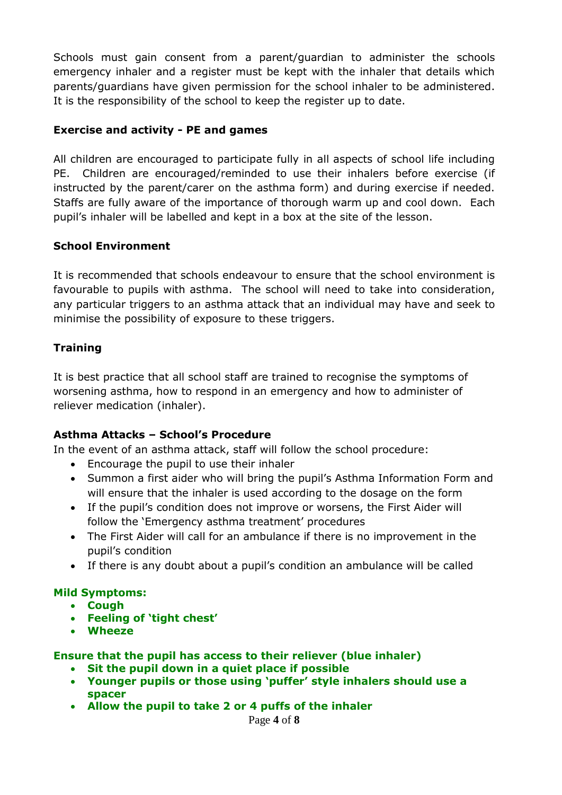Schools must gain consent from a parent/guardian to administer the schools emergency inhaler and a register must be kept with the inhaler that details which parents/guardians have given permission for the school inhaler to be administered. It is the responsibility of the school to keep the register up to date.

# **Exercise and activity - PE and games**

All children are encouraged to participate fully in all aspects of school life including PE. Children are encouraged/reminded to use their inhalers before exercise (if instructed by the parent/carer on the asthma form) and during exercise if needed. Staffs are fully aware of the importance of thorough warm up and cool down. Each pupil's inhaler will be labelled and kept in a box at the site of the lesson.

# **School Environment**

It is recommended that schools endeavour to ensure that the school environment is favourable to pupils with asthma. The school will need to take into consideration, any particular triggers to an asthma attack that an individual may have and seek to minimise the possibility of exposure to these triggers.

# **Training**

It is best practice that all school staff are trained to recognise the symptoms of worsening asthma, how to respond in an emergency and how to administer of reliever medication (inhaler).

## **Asthma Attacks – School's Procedure**

In the event of an asthma attack, staff will follow the school procedure:

- Encourage the pupil to use their inhaler
- Summon a first aider who will bring the pupil's Asthma Information Form and will ensure that the inhaler is used according to the dosage on the form
- If the pupil's condition does not improve or worsens, the First Aider will follow the 'Emergency asthma treatment' procedures
- The First Aider will call for an ambulance if there is no improvement in the pupil's condition
- If there is any doubt about a pupil's condition an ambulance will be called

## **Mild Symptoms:**

- **Cough**
- **Feeling of 'tight chest'**
- **Wheeze**

## **Ensure that the pupil has access to their reliever (blue inhaler)**

- **Sit the pupil down in a quiet place if possible**
- **Younger pupils or those using 'puffer' style inhalers should use a spacer**
- **Allow the pupil to take 2 or 4 puffs of the inhaler**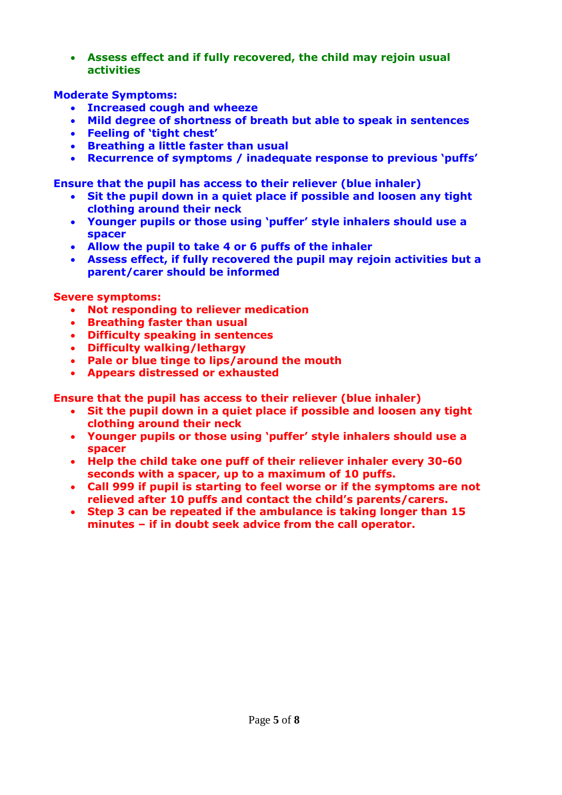**Assess effect and if fully recovered, the child may rejoin usual activities** 

## **Moderate Symptoms:**

- **Increased cough and wheeze**
- **Mild degree of shortness of breath but able to speak in sentences**
- **Feeling of 'tight chest'**
- **Breathing a little faster than usual**
- **Recurrence of symptoms / inadequate response to previous 'puffs'**

**Ensure that the pupil has access to their reliever (blue inhaler)**

- **Sit the pupil down in a quiet place if possible and loosen any tight clothing around their neck**
- **Younger pupils or those using 'puffer' style inhalers should use a spacer**
- **Allow the pupil to take 4 or 6 puffs of the inhaler**
- **Assess effect, if fully recovered the pupil may rejoin activities but a parent/carer should be informed**

## **Severe symptoms:**

- **Not responding to reliever medication**
- **Breathing faster than usual**
- **Difficulty speaking in sentences**
- **Difficulty walking/lethargy**
- **Pale or blue tinge to lips/around the mouth**
- **Appears distressed or exhausted**

**Ensure that the pupil has access to their reliever (blue inhaler)**

- **Sit the pupil down in a quiet place if possible and loosen any tight clothing around their neck**
- **Younger pupils or those using 'puffer' style inhalers should use a spacer**
- **Help the child take one puff of their reliever inhaler every 30-60 seconds with a spacer, up to a maximum of 10 puffs.**
- **Call 999 if pupil is starting to feel worse or if the symptoms are not relieved after 10 puffs and contact the child's parents/carers.**
- **Step 3 can be repeated if the ambulance is taking longer than 15 minutes – if in doubt seek advice from the call operator.**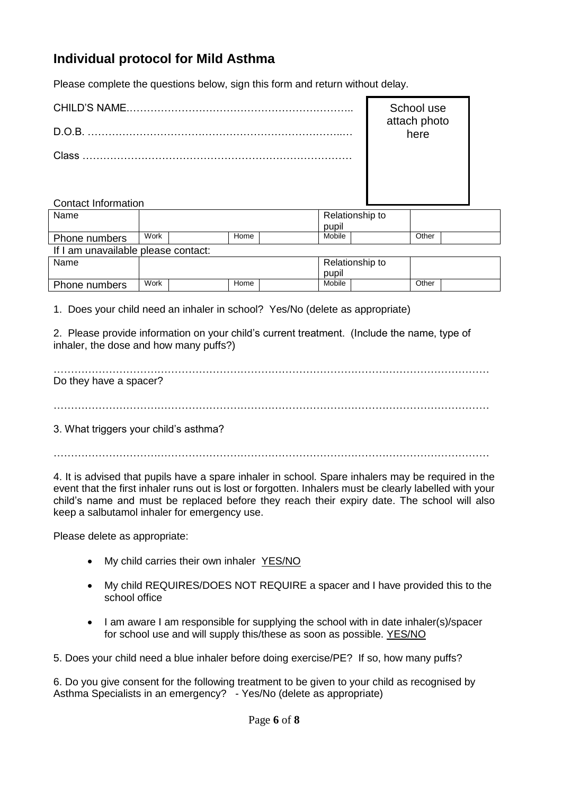# **Individual protocol for Mild Asthma**

Please complete the questions below, sign this form and return without delay.

| CHILD'S NAME. | School use<br>attach photo<br>here |
|---------------|------------------------------------|
| $D$ $O$ $B$   |                                    |
| Class         |                                    |
|               |                                    |

| Name          |      |      | Relationship to |        |  |       |  |
|---------------|------|------|-----------------|--------|--|-------|--|
|               |      |      |                 | pupil  |  |       |  |
| Phone numbers | Work | Home |                 | Mobile |  | Other |  |

| If I am unavailable please contact: |  |  |
|-------------------------------------|--|--|
|-------------------------------------|--|--|

Contact Information

| Name          |      |  |      | pupil | Relationship to |  |       |  |
|---------------|------|--|------|-------|-----------------|--|-------|--|
| Phone numbers | Work |  | Home |       | Mobile          |  | Other |  |

1. Does your child need an inhaler in school? Yes/No (delete as appropriate)

2. Please provide information on your child's current treatment. (Include the name, type of inhaler, the dose and how many puffs?)

| Do they have a spacer? |  |  |  |
|------------------------|--|--|--|
|                        |  |  |  |

3. What triggers your child's asthma?

 $\mathcal{L}^{\text{max}}_{\text{max}}$ 

4. It is advised that pupils have a spare inhaler in school. Spare inhalers may be required in the event that the first inhaler runs out is lost or forgotten. Inhalers must be clearly labelled with your child's name and must be replaced before they reach their expiry date. The school will also keep a salbutamol inhaler for emergency use.

Please delete as appropriate:

- My child carries their own inhaler YES/NO
- My child REQUIRES/DOES NOT REQUIRE a spacer and I have provided this to the school office
- I am aware I am responsible for supplying the school with in date inhaler(s)/spacer for school use and will supply this/these as soon as possible. YES/NO

5. Does your child need a blue inhaler before doing exercise/PE? If so, how many puffs?

6. Do you give consent for the following treatment to be given to your child as recognised by Asthma Specialists in an emergency? - Yes/No (delete as appropriate)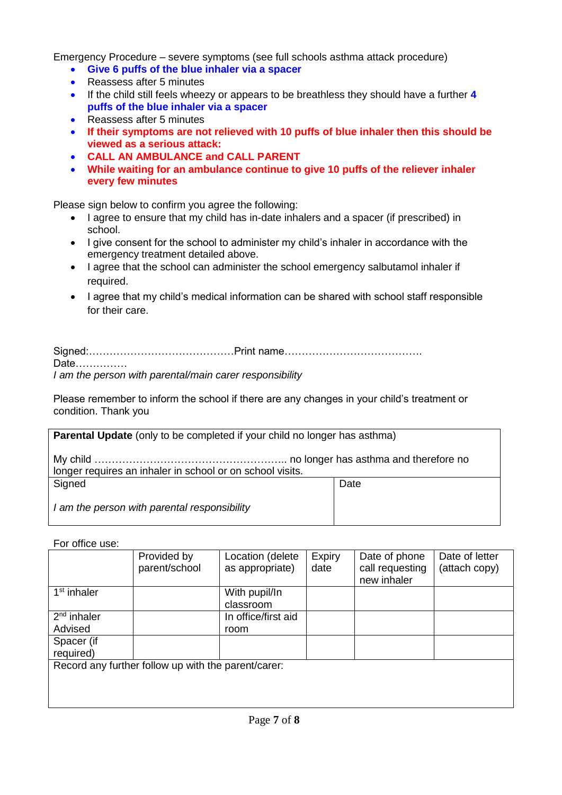Emergency Procedure – severe symptoms (see full schools asthma attack procedure)

- **Give 6 puffs of the blue inhaler via a spacer**
- Reassess after 5 minutes
- If the child still feels wheezy or appears to be breathless they should have a further **4 puffs of the blue inhaler via a spacer**
- Reassess after 5 minutes
- **If their symptoms are not relieved with 10 puffs of blue inhaler then this should be viewed as a serious attack:**
- **CALL AN AMBULANCE and CALL PARENT**
- **While waiting for an ambulance continue to give 10 puffs of the reliever inhaler every few minutes**

Please sign below to confirm you agree the following:

- I agree to ensure that my child has in-date inhalers and a spacer (if prescribed) in school.
- I give consent for the school to administer my child's inhaler in accordance with the emergency treatment detailed above.
- I agree that the school can administer the school emergency salbutamol inhaler if required.
- I agree that my child's medical information can be shared with school staff responsible for their care.

| Date                                                    |  |
|---------------------------------------------------------|--|
| I am the person with parental/main carer responsibility |  |

Please remember to inform the school if there are any changes in your child's treatment or condition. Thank you

| Parental Update (only to be completed if your child no longer has asthma) |      |  |  |  |  |  |
|---------------------------------------------------------------------------|------|--|--|--|--|--|
| longer requires an inhaler in school or on school visits.                 |      |  |  |  |  |  |
| Signed                                                                    | Date |  |  |  |  |  |
| I am the person with parental responsibility                              |      |  |  |  |  |  |

For office use:

|                                                     | Provided by<br>parent/school | Location (delete<br>as appropriate) | Expiry<br>date | Date of phone<br>call requesting<br>new inhaler | Date of letter<br>(attach copy) |  |  |
|-----------------------------------------------------|------------------------------|-------------------------------------|----------------|-------------------------------------------------|---------------------------------|--|--|
| 1 <sup>st</sup> inhaler                             |                              | With pupil/In                       |                |                                                 |                                 |  |  |
|                                                     |                              | classroom                           |                |                                                 |                                 |  |  |
| $2nd$ inhaler                                       |                              | In office/first aid                 |                |                                                 |                                 |  |  |
| Advised                                             |                              | room                                |                |                                                 |                                 |  |  |
| Spacer (if                                          |                              |                                     |                |                                                 |                                 |  |  |
| required)                                           |                              |                                     |                |                                                 |                                 |  |  |
| Record any further follow up with the parent/carer: |                              |                                     |                |                                                 |                                 |  |  |
|                                                     |                              |                                     |                |                                                 |                                 |  |  |
|                                                     |                              |                                     |                |                                                 |                                 |  |  |
|                                                     |                              |                                     |                |                                                 |                                 |  |  |